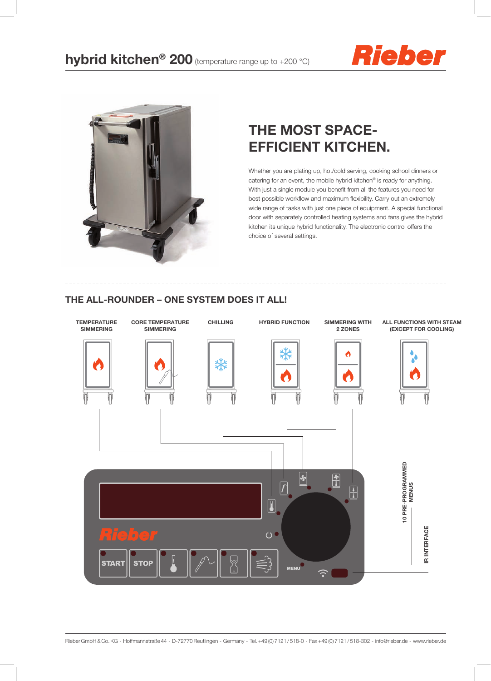



## The most spaceefficient kitchen.

Whether you are plating up, hot/cold serving, cooking school dinners or catering for an event, the mobile hybrid kitchen® is ready for anything. With just a single module you benefit from all the features you need for best possible workflow and maximum flexibility. Carry out an extremely wide range of tasks with just one piece of equipment. A special functional door with separately controlled heating systems and fans gives the hybrid kitchen its unique hybrid functionality. The electronic control offers the choice of several settings.

## THE ALL-ROUNDER – ONE SYSTEM DOES IT ALL!